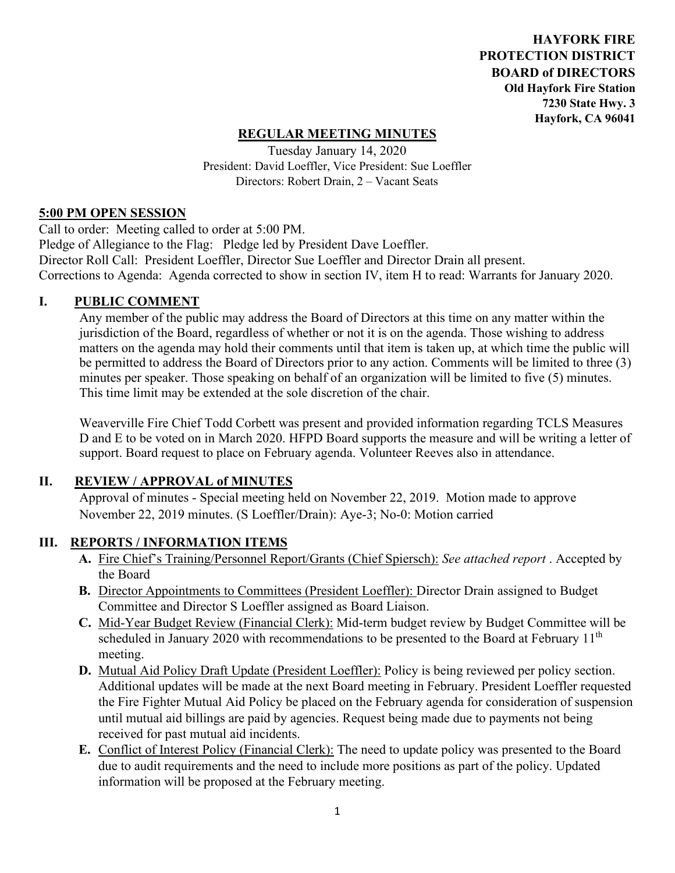**HAYFORK FIRE PROTECTION DISTRICT BOARD of DIRECTORS Old Hayfork Fire Station 7230 State Hwy. 3 Hayfork, CA 96041** 

## **REGULAR MEETING MINUTES**

Tuesday January 14, 2020 President: David Loeffler, Vice President: Sue Loeffler Directors: Robert Drain, 2 – Vacant Seats

#### **5:00 PM OPEN SESSION**

Call to order: Meeting called to order at 5:00 PM. Pledge of Allegiance to the Flag: Pledge led by President Dave Loeffler. Director Roll Call: President Loeffler, Director Sue Loeffler and Director Drain all present. Corrections to Agenda: Agenda corrected to show in section IV, item H to read: Warrants for January 2020.

### **I. PUBLIC COMMENT**

Any member of the public may address the Board of Directors at this time on any matter within the jurisdiction of the Board, regardless of whether or not it is on the agenda. Those wishing to address matters on the agenda may hold their comments until that item is taken up, at which time the public will be permitted to address the Board of Directors prior to any action. Comments will be limited to three (3) minutes per speaker. Those speaking on behalf of an organization will be limited to five (5) minutes. This time limit may be extended at the sole discretion of the chair.

Weaverville Fire Chief Todd Corbett was present and provided information regarding TCLS Measures D and E to be voted on in March 2020. HFPD Board supports the measure and will be writing a letter of support. Board request to place on February agenda. Volunteer Reeves also in attendance.

### **II. REVIEW / APPROVAL of MINUTES**

 Approval of minutes - Special meeting held on November 22, 2019. Motion made to approve November 22, 2019 minutes. (S Loeffler/Drain): Aye-3; No-0: Motion carried

### **III. REPORTS / INFORMATION ITEMS**

- **A.** Fire Chief's Training/Personnel Report/Grants (Chief Spiersch): *See attached report* . Accepted by the Board
- **B.** Director Appointments to Committees (President Loeffler): Director Drain assigned to Budget Committee and Director S Loeffler assigned as Board Liaison.
- **C.** Mid-Year Budget Review (Financial Clerk): Mid-term budget review by Budget Committee will be scheduled in January 2020 with recommendations to be presented to the Board at February  $11<sup>th</sup>$ meeting.
- **D.** Mutual Aid Policy Draft Update (President Loeffler): Policy is being reviewed per policy section. Additional updates will be made at the next Board meeting in February. President Loeffler requested the Fire Fighter Mutual Aid Policy be placed on the February agenda for consideration of suspension until mutual aid billings are paid by agencies. Request being made due to payments not being received for past mutual aid incidents.
- **E.** Conflict of Interest Policy (Financial Clerk): The need to update policy was presented to the Board due to audit requirements and the need to include more positions as part of the policy. Updated information will be proposed at the February meeting.